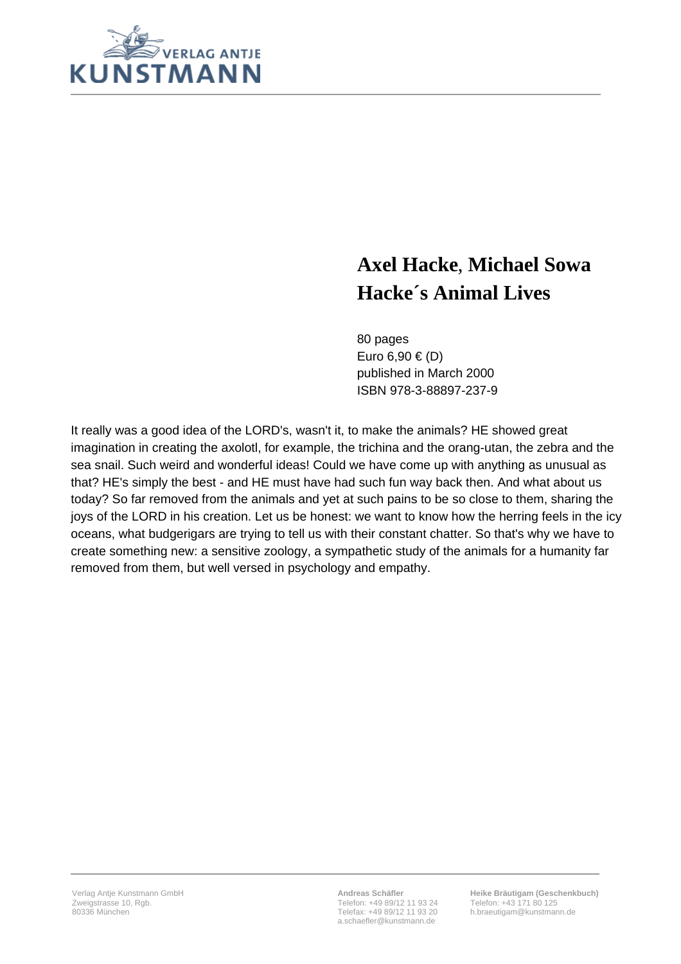

# **Axel Hacke**, **Michael Sowa Hacke´s Animal Lives**

80 pages Euro 6,90  $\in$  (D) published in March 2000 ISBN 978-3-88897-237-9

It really was a good idea of the LORD's, wasn't it, to make the animals? HE showed great imagination in creating the axolotl, for example, the trichina and the orang-utan, the zebra and the sea snail. Such weird and wonderful ideas! Could we have come up with anything as unusual as that? HE's simply the best - and HE must have had such fun way back then. And what about us today? So far removed from the animals and yet at such pains to be so close to them, sharing the joys of the LORD in his creation. Let us be honest: we want to know how the herring feels in the icy oceans, what budgerigars are trying to tell us with their constant chatter. So that's why we have to create something new: a sensitive zoology, a sympathetic study of the animals for a humanity far removed from them, but well versed in psychology and empathy.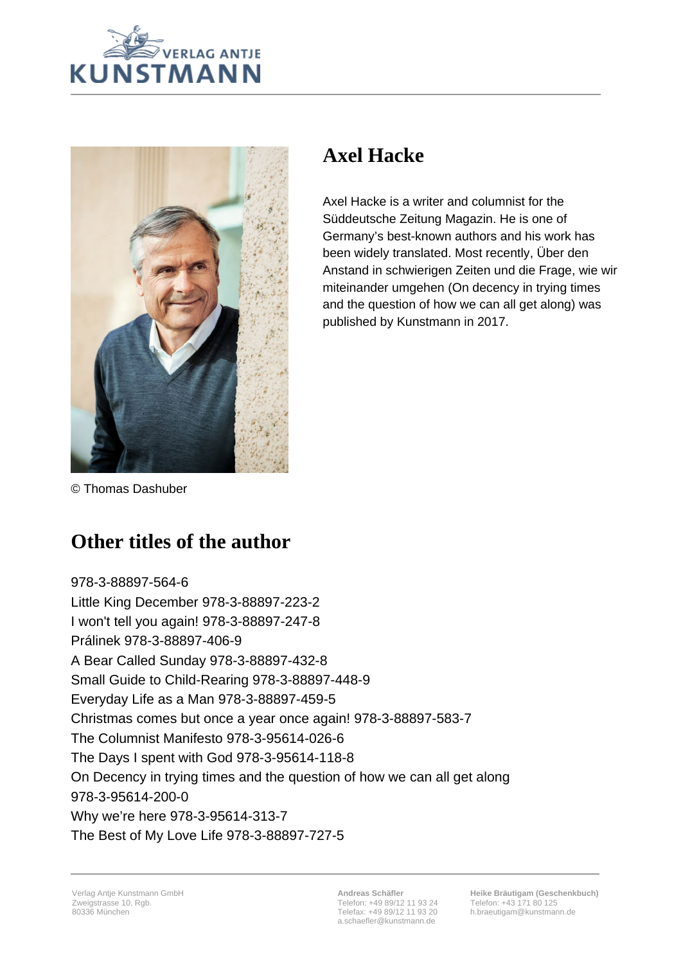



## **Axel Hacke**

Axel Hacke is a writer and columnist for the Süddeutsche Zeitung Magazin. He is one of Germany's best-known authors and his work has been widely translated. Most recently, Über den Anstand in schwierigen Zeiten und die Frage, wie wir miteinander umgehen (On decency in trying times and the question of how we can all get along) was published by Kunstmann in 2017.

© Thomas Dashuber

## **Other titles of the author**

978-3-88897-564-6 Little King December 978-3-88897-223-2 I won't tell you again! 978-3-88897-247-8 Prálinek 978-3-88897-406-9 A Bear Called Sunday 978-3-88897-432-8 Small Guide to Child-Rearing 978-3-88897-448-9 Everyday Life as a Man 978-3-88897-459-5 Christmas comes but once a year once again! 978-3-88897-583-7 The Columnist Manifesto 978-3-95614-026-6 The Days I spent with God 978-3-95614-118-8 On Decency in trying times and the question of how we can all get along 978-3-95614-200-0 Why we're here 978-3-95614-313-7 The Best of My Love Life 978-3-88897-727-5